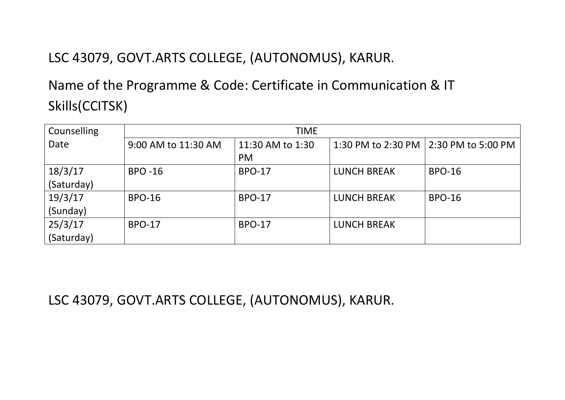## LSC 43079, GOVT.ARTS COLLEGE, (AUTONOMUS), KARUR.

## Name of the Programme & Code: Certificate in Communication & IT Skills(CCITSK)

| Counselling | <b>TIME</b>         |                  |                    |                    |
|-------------|---------------------|------------------|--------------------|--------------------|
| Date        | 9:00 AM to 11:30 AM | 11:30 AM to 1:30 | 1:30 PM to 2:30 PM | 2:30 PM to 5:00 PM |
|             |                     | <b>PM</b>        |                    |                    |
| 18/3/17     | <b>BPO -16</b>      | <b>BPO-17</b>    | <b>LUNCH BREAK</b> | <b>BPO-16</b>      |
| (Saturday)  |                     |                  |                    |                    |
| 19/3/17     | <b>BPO-16</b>       | <b>BPO-17</b>    | <b>LUNCH BREAK</b> | <b>BPO-16</b>      |
| (Sunday)    |                     |                  |                    |                    |
| 25/3/17     | <b>BPO-17</b>       | <b>BPO-17</b>    | <b>LUNCH BREAK</b> |                    |
| (Saturday)  |                     |                  |                    |                    |

LSC 43079, GOVT.ARTS COLLEGE, (AUTONOMUS), KARUR.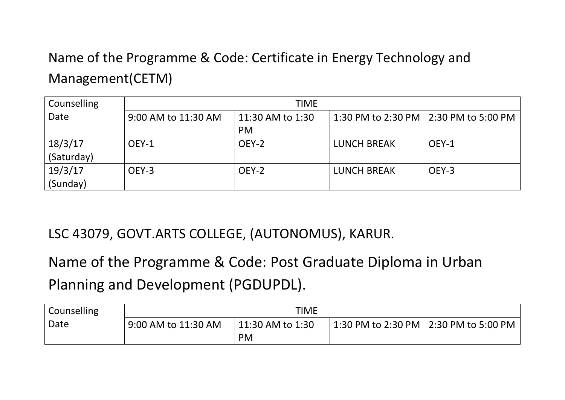## Name of the Programme & Code: Certificate in Energy Technology and Management(CETM)

| Counselling | <b>TIME</b>         |                  |                    |                                         |
|-------------|---------------------|------------------|--------------------|-----------------------------------------|
| Date        | 9:00 AM to 11:30 AM | 11:30 AM to 1:30 |                    | 1:30 PM to 2:30 PM   2:30 PM to 5:00 PM |
|             |                     | <b>PM</b>        |                    |                                         |
| 18/3/17     | OEY-1               | OEY-2            | <b>LUNCH BREAK</b> | OEY-1                                   |
| (Saturday)  |                     |                  |                    |                                         |
| 19/3/17     | OEY-3               | OEY-2            | <b>LUNCH BREAK</b> | OEY-3                                   |
| (Sunday)    |                     |                  |                    |                                         |

LSC 43079, GOVT.ARTS COLLEGE, (AUTONOMUS), KARUR.

Name of the Programme & Code: Post Graduate Diploma in Urban Planning and Development (PGDUPDL).

| Counselling | <b>TIME</b>         |                  |  |                                                                            |
|-------------|---------------------|------------------|--|----------------------------------------------------------------------------|
| Date        | 9:00 AM to 11:30 AM | 11:30 AM to 1:30 |  | $^{\shortmid}$ 1:30 PM to 2:30 PM $\mid$ 2:30 PM to 5:00 PM $^{\shortmid}$ |
|             |                     | <b>PM</b>        |  |                                                                            |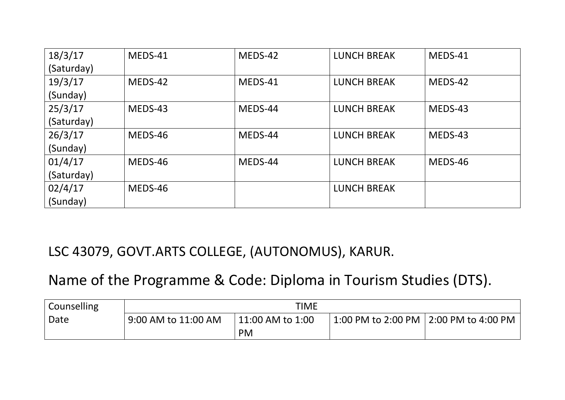| 18/3/17    | MEDS-41 | MEDS-42 | <b>LUNCH BREAK</b> | MEDS-41 |
|------------|---------|---------|--------------------|---------|
| (Saturday) |         |         |                    |         |
| 19/3/17    | MEDS-42 | MEDS-41 | <b>LUNCH BREAK</b> | MEDS-42 |
| (Sunday)   |         |         |                    |         |
| 25/3/17    | MEDS-43 | MEDS-44 | <b>LUNCH BREAK</b> | MEDS-43 |
| (Saturday) |         |         |                    |         |
| 26/3/17    | MEDS-46 | MEDS-44 | <b>LUNCH BREAK</b> | MEDS-43 |
| (Sunday)   |         |         |                    |         |
| 01/4/17    | MEDS-46 | MEDS-44 | <b>LUNCH BREAK</b> | MEDS-46 |
| (Saturday) |         |         |                    |         |
| 02/4/17    | MEDS-46 |         | <b>LUNCH BREAK</b> |         |
| (Sunday)   |         |         |                    |         |

LSC 43079, GOVT.ARTS COLLEGE, (AUTONOMUS), KARUR.

## Name of the Programme & Code: Diploma in Tourism Studies (DTS).

| Counselling | TIME                |                  |                            |                            |
|-------------|---------------------|------------------|----------------------------|----------------------------|
| Date        | 9:00 AM to 11:00 AM | 11:00 AM to 1:00 | 1:00 PM to 2:00 PM $\vert$ | $\vert$ 2:00 PM to 4:00 PM |
|             |                     | <b>PM</b>        |                            |                            |